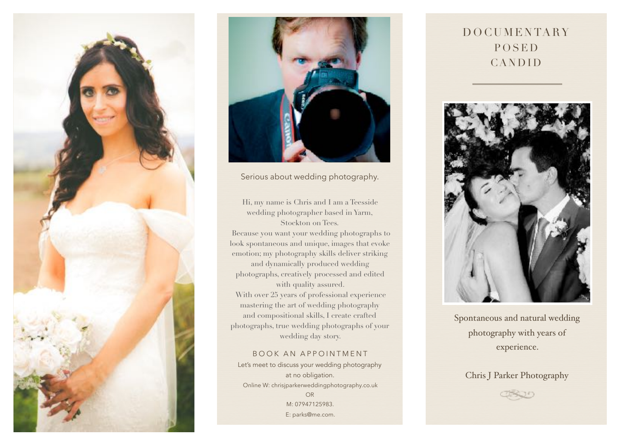



Serious about wedding photography.

Hi, my name is Chris and I am a Teesside wedding photographer based in Yarm, Stockton on Tees. Because you want your wedding photographs to look spontaneous and unique, images that evoke emotion; my photography skills deliver striking and dynamically produced wedding photographs, creatively processed and edited with quality assured. With over 25 years of professional experience mastering the art of wedding photography and compositional skills, I create crafted photographs, true wedding photographs of your wedding day story.

## BOOK AN APPOINTMENT

Let's meet to discuss your wedding photography at no obligation. Online W: chrisjparkerweddingphotography.co.uk OR M: 07947125983. E: parks@me.com.

## DOCUMENTARY POSED CANDID



Spontaneous and natural wedding photography with years of experience.

## Chris J Parker Photography